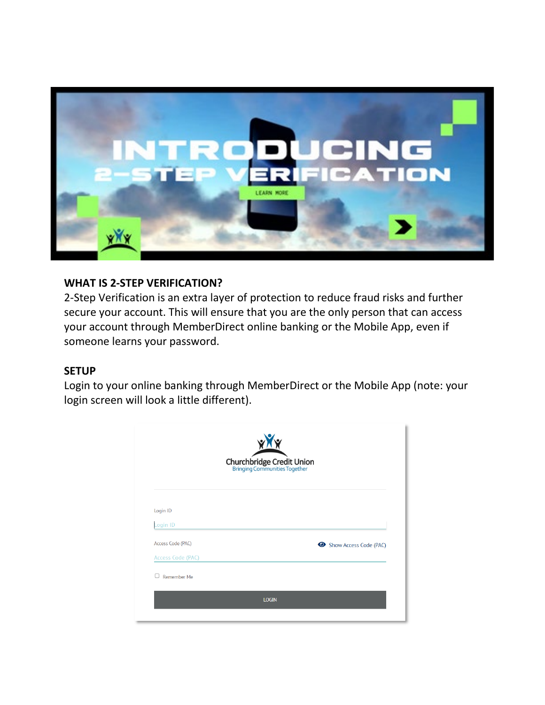

## **WHAT IS 2-STEP VERIFICATION?**

2-Step Verification is an extra layer of protection to reduce fraud risks and further secure your account. This will ensure that you are the only person that can access your account through MemberDirect online banking or the Mobile App, even if someone learns your password.

## **SETUP**

Login to your online banking through MemberDirect or the Mobile App (note: your login screen will look a little different).

| Churchbridge Credit Union<br>Bringing Communities Together |                        |  |
|------------------------------------------------------------|------------------------|--|
|                                                            |                        |  |
| Login ID<br>Login ID                                       |                        |  |
| Access Code (PAC)                                          | Show Access Code (PAC) |  |
| Access Code (PAC)                                          |                        |  |
| □<br>Remember Me                                           |                        |  |
|                                                            |                        |  |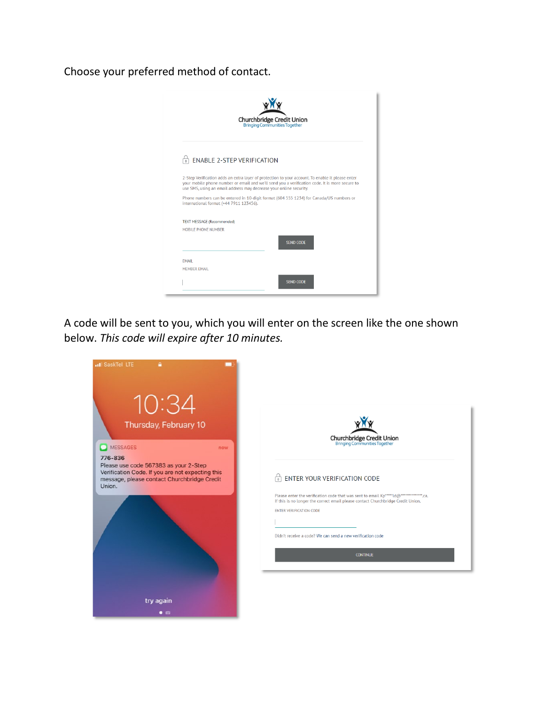Choose your preferred method of contact.



A code will be sent to you, which you will enter on the screen like the one shown below. *This code will expire after 10 minutes.*

| all SaskTel LTE<br>10:34                                                                                                                                      |                                                                                                                                                                                                                                               |
|---------------------------------------------------------------------------------------------------------------------------------------------------------------|-----------------------------------------------------------------------------------------------------------------------------------------------------------------------------------------------------------------------------------------------|
| Thursday, February 10<br>MESSAGES<br>now                                                                                                                      | <b>Churchbridge Credit Union</b><br>Bringing Communities Together                                                                                                                                                                             |
| 776-836<br>Please use code 567383 as your 2-Step<br>Verification Code. If you are not expecting this<br>message, please contact Churchbridge Credit<br>Union. | ENTER YOUR VERIFICATION CODE<br>Please enter the verification code that was sent to email Kp******Id@**************.ca.<br>If this is no longer the correct email please contact Churchbridge Credit Union.<br><b>ENTER VERIFICATION CODE</b> |
|                                                                                                                                                               | Didn't receive a code? We can send a new verification code<br><b>CONTINUE</b>                                                                                                                                                                 |
| try again<br>$\bullet$ $\circ$                                                                                                                                |                                                                                                                                                                                                                                               |